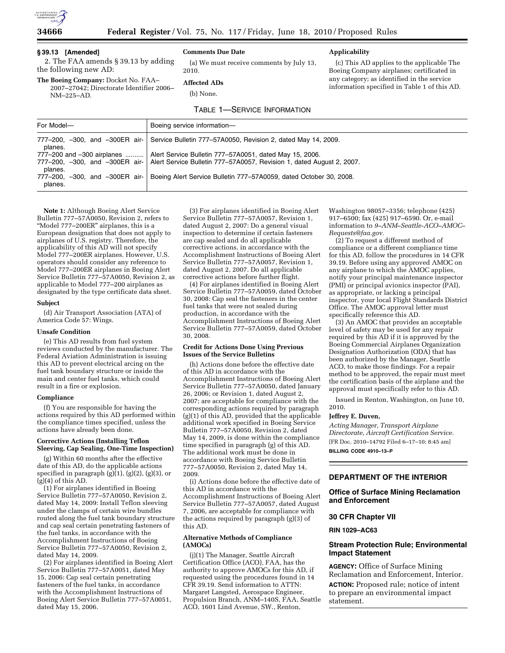

## **34666 Federal Register** / Vol. 75, No. 117 / Friday, June 18, 2010 / Proposed Rules

## **§ 39.13 [Amended]**

2. The FAA amends § 39.13 by adding the following new AD:

## **Comments Due Date**

**Affected ADs**  (b) None.

(a) We must receive comments by July 13, 2010.

## **Applicability**

(c) This AD applies to the applicable The Boeing Company airplanes; certificated in any category; as identified in the service information specified in Table 1 of this AD.

**The Boeing Company:** Docket No. FAA– 2007–27042; Directorate Identifier 2006– NM–225–AD.

# TABLE 1—SERVICE INFORMATION

| For Model-                            | Boeing service information-                                                                                                                                       |
|---------------------------------------|-------------------------------------------------------------------------------------------------------------------------------------------------------------------|
| planes.                               | 777–200, -300, and -300ER air- Service Bulletin 777–57A0050, Revision 2, dated May 14, 2009.                                                                      |
| 777-200 and -300 airplanes<br>planes. | Alert Service Bulletin 777-57A0051, dated May 15, 2006.<br>777–200, -300, and -300ER air-   Alert Service Bulletin 777–57A0057, Revision 1, dated August 2, 2007. |
| planes.                               | 777-200, -300, and -300ER air-   Boeing Alert Service Bulletin 777-57A0059, dated October 30, 2008.                                                               |

**Note 1:** Although Boeing Alert Service Bulletin 777–57A0050, Revision 2, refers to "Model 777–200ER" airplanes, this is a European designation that does not apply to airplanes of U.S. registry. Therefore, the applicability of this AD will not specify Model 777–200ER airplanes. However, U.S. operators should consider any reference to Model 777–200ER airplanes in Boeing Alert Service Bulletin 777–57A0050, Revision 2, as applicable to Model 777–200 airplanes as designated by the type certificate data sheet.

#### **Subject**

(d) Air Transport Association (ATA) of America Code 57: Wings.

#### **Unsafe Condition**

(e) This AD results from fuel system reviews conducted by the manufacturer. The Federal Aviation Administration is issuing this AD to prevent electrical arcing on the fuel tank boundary structure or inside the main and center fuel tanks, which could result in a fire or explosion.

#### **Compliance**

(f) You are responsible for having the actions required by this AD performed within the compliance times specified, unless the actions have already been done.

#### **Corrective Actions (Installing Teflon Sleeving, Cap Sealing, One-Time Inspection)**

(g) Within 60 months after the effective date of this AD, do the applicable actions specified in paragraph  $(g)(1)$ ,  $(g)(2)$ ,  $(g)(3)$ , or  $(g)(4)$  of this AD.

(1) For airplanes identified in Boeing Service Bulletin 777–57A0050, Revision 2, dated May 14, 2009: Install Teflon sleeving under the clamps of certain wire bundles routed along the fuel tank boundary structure and cap seal certain penetrating fasteners of the fuel tanks, in accordance with the Accomplishment Instructions of Boeing Service Bulletin 777–57A0050, Revision 2, dated May 14, 2009.

(2) For airplanes identified in Boeing Alert Service Bulletin 777–57A0051, dated May 15, 2006: Cap seal certain penetrating fasteners of the fuel tanks, in accordance with the Accomplishment Instructions of Boeing Alert Service Bulletin 777–57A0051, dated May 15, 2006.

(3) For airplanes identified in Boeing Alert Service Bulletin 777–57A0057, Revision 1, dated August 2, 2007: Do a general visual inspection to determine if certain fasteners are cap sealed and do all applicable corrective actions, in accordance with the Accomplishment Instructions of Boeing Alert Service Bulletin 777–57A0057, Revision 1, dated August 2, 2007. Do all applicable corrective actions before further flight.

(4) For airplanes identified in Boeing Alert Service Bulletin 777–57A0059, dated October 30, 2008: Cap seal the fasteners in the center fuel tanks that were not sealed during production, in accordance with the Accomplishment Instructions of Boeing Alert Service Bulletin 777–57A0059, dated October 30, 2008.

#### **Credit for Actions Done Using Previous Issues of the Service Bulletins**

(h) Actions done before the effective date of this AD in accordance with the Accomplishment Instructions of Boeing Alert Service Bulletin 777–57A0050, dated January 26, 2006; or Revision 1, dated August 2, 2007; are acceptable for compliance with the corresponding actions required by paragraph (g)(1) of this AD, provided that the applicable additional work specified in Boeing Service Bulletin 777–57A0050, Revision 2, dated May 14, 2009, is done within the compliance time specified in paragraph (g) of this AD. The additional work must be done in accordance with Boeing Service Bulletin 777–57A0050, Revision 2, dated May 14, 2009.

(i) Actions done before the effective date of this AD in accordance with the Accomplishment Instructions of Boeing Alert Service Bulletin 777–57A0057, dated August 7, 2006, are acceptable for compliance with the actions required by paragraph (g)(3) of this AD.

### **Alternative Methods of Compliance (AMOCs)**

(j)(1) The Manager, Seattle Aircraft Certification Office (ACO), FAA, has the authority to approve AMOCs for this AD, if requested using the procedures found in 14 CFR 39.19. Send information to ATTN: Margaret Langsted, Aerospace Engineer, Propulsion Branch, ANM–140S, FAA, Seattle ACO, 1601 Lind Avenue, SW., Renton,

Washington 98057–3356; telephone (425) 917–6500; fax (425) 917–6590. Or, e-mail information to *9–ANM–Seattle-ACO–AMOC– Requests@faa.gov.* 

(2) To request a different method of compliance or a different compliance time for this AD, follow the procedures in 14 CFR 39.19. Before using any approved AMOC on any airplane to which the AMOC applies, notify your principal maintenance inspector (PMI) or principal avionics inspector (PAI), as appropriate, or lacking a principal inspector, your local Flight Standards District Office. The AMOC approval letter must specifically reference this AD.

(3) An AMOC that provides an acceptable level of safety may be used for any repair required by this AD if it is approved by the Boeing Commercial Airplanes Organization Designation Authorization (ODA) that has been authorized by the Manager, Seattle ACO, to make those findings. For a repair method to be approved, the repair must meet the certification basis of the airplane and the approval must specifically refer to this AD.

Issued in Renton, Washington, on June 10, 2010.

#### **Jeffrey E. Duven,**

*Acting Manager, Transport Airplane Directorate, Aircraft Certification Service.*  [FR Doc. 2010–14792 Filed 6–17–10; 8:45 am] **BILLING CODE 4910–13–P** 

## **DEPARTMENT OF THE INTERIOR**

## **Office of Surface Mining Reclamation and Enforcement**

#### **30 CFR Chapter VII**

**RIN 1029–AC63** 

## **Stream Protection Rule; Environmental Impact Statement**

**AGENCY:** Office of Surface Mining Reclamation and Enforcement, Interior. **ACTION:** Proposed rule; notice of intent to prepare an environmental impact statement.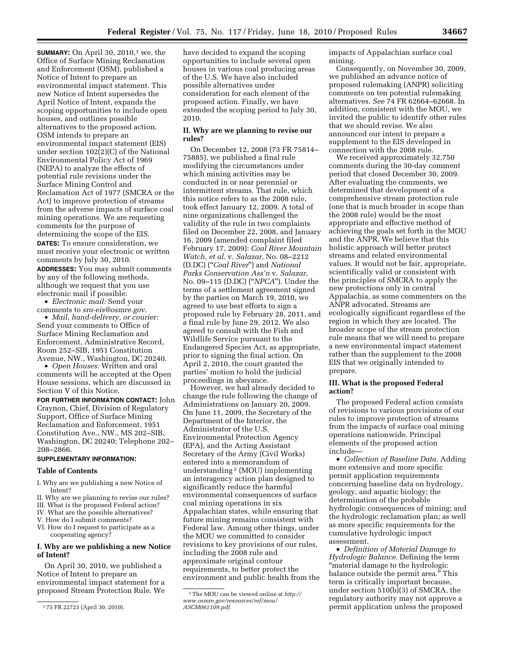**SUMMARY:** On April 30, 2010,<sup>1</sup> we, the Office of Surface Mining Reclamation and Enforcement (OSM), published a Notice of Intent to prepare an environmental impact statement. This new Notice of Intent supersedes the April Notice of Intent, expands the scoping opportunities to include open houses, and outlines possible alternatives to the proposed action. OSM intends to prepare an environmental impact statement (EIS) under section 102(2)(C) of the National Environmental Policy Act of 1969 (NEPA) to analyze the effects of potential rule revisions under the Surface Mining Control and Reclamation Act of 1977 (SMCRA or the Act) to improve protection of streams from the adverse impacts of surface coal mining operations. We are requesting comments for the purpose of determining the scope of the EIS. **DATES:** To ensure consideration, we

must receive your electronic or written comments by July 30, 2010. **ADDRESSES:** You may submit comments

by any of the following methods, although we request that you use electronic mail if possible:

• *Electronic mail:* Send your comments to *sra-eis@osmre.gov.* 

• *Mail, hand-delivery, or courier:*  Send your comments to Office of Surface Mining Reclamation and Enforcement, Administrative Record, Room 252–SIB, 1951 Constitution Avenue, NW., Washington, DC 20240.

• *Open Houses:* Written and oral comments will be accepted at the Open House sessions, which are discussed in Section V of this Notice.

**FOR FURTHER INFORMATION CONTACT:** John Craynon, Chief, Division of Regulatory Support, Office of Surface Mining Reclamation and Enforcement, 1951 Constitution Ave., NW., MS 202–SIB, Washington, DC 20240; Telephone 202– 208–2866.

#### **SUPPLEMENTARY INFORMATION:**

#### **Table of Contents**

- I. Why are we publishing a new Notice of Intent?
- II. Why are we planning to revise our rules?
- III. What is the proposed Federal action?
- IV. What are the possible alternatives?
- V. How do I submit comments?
- VI. How do I request to participate as a cooperating agency?

## **I. Why are we publishing a new Notice of Intent?**

On April 30, 2010, we published a Notice of Intent to prepare an environmental impact statement for a proposed Stream Protection Rule. We have decided to expand the scoping opportunities to include several open houses in various coal producing areas of the U.S. We have also included possible alternatives under consideration for each element of the proposed action. Finally, we have extended the scoping period to July 30, 2010.

## **II. Why are we planning to revise our rules?**

On December 12, 2008 (73 FR 75814– 75885), we published a final rule modifying the circumstances under which mining activities may be conducted in or near perennial or intermittent streams. That rule, which this notice refers to as the 2008 rule, took effect January 12, 2009. A total of nine organizations challenged the validity of the rule in two complaints filed on December 22, 2008, and January 16, 2009 (amended complaint filed February 17, 2009): *Coal River Mountain Watch, et al.* v. *Salazar,* No. 08–2212 (D.DC) (''*Coal River*'') and *National Parks Conservation Ass'n* v. *Salazar,*  No. 09–115 (D.DC) (''*NPCA*''). Under the terms of a settlement agreement signed by the parties on March 19, 2010, we agreed to use best efforts to sign a proposed rule by February 28, 2011, and a final rule by June 29, 2012. We also agreed to consult with the Fish and Wildlife Service pursuant to the Endangered Species Act, as appropriate, prior to signing the final action. On April 2, 2010, the court granted the parties' motion to hold the judicial proceedings in abeyance.

However, we had already decided to change the rule following the change of Administrations on January 20, 2009. On June 11, 2009, the Secretary of the Department of the Interior, the Administrator of the U.S. Environmental Protection Agency (EPA), and the Acting Assistant Secretary of the Army (Civil Works) entered into a memorandum of understanding 2 (MOU) implementing an interagency action plan designed to significantly reduce the harmful environmental consequences of surface coal mining operations in six Appalachian states, while ensuring that future mining remains consistent with Federal law. Among other things, under the MOU we committed to consider revisions to key provisions of our rules, including the 2008 rule and approximate original contour requirements, to better protect the environment and public health from the impacts of Appalachian surface coal mining.

Consequently, on November 30, 2009, we published an advance notice of proposed rulemaking (ANPR) soliciting comments on ten potential rulemaking alternatives. *See* 74 FR 62664–62668. In addition, consistent with the MOU, we invited the public to identify other rules that we should revise. We also announced our intent to prepare a supplement to the EIS developed in connection with the 2008 rule.

We received approximately 32,750 comments during the 30-day comment period that closed December 30, 2009. After evaluating the comments, we determined that development of a comprehensive stream protection rule (one that is much broader in scope than the 2008 rule) would be the most appropriate and effective method of achieving the goals set forth in the MOU and the ANPR. We believe that this holistic approach will better protect streams and related environmental values. It would not be fair, appropriate, scientifically valid or consistent with the principles of SMCRA to apply the new protections only in central Appalachia, as some commenters on the ANPR advocated. Streams are ecologically significant regardless of the region in which they are located. The broader scope of the stream protection rule means that we will need to prepare a new environmental impact statement rather than the supplement to the 2008 EIS that we originally intended to prepare.

## **III. What is the proposed Federal action?**

The proposed Federal action consists of revisions to various provisions of our rules to improve protection of streams from the impacts of surface coal mining operations nationwide. Principal elements of the proposed action include—

• *Collection of Baseline Data.* Adding more extensive and more specific permit application requirements concerning baseline data on hydrology, geology, and aquatic biology; the determination of the probable hydrologic consequences of mining; and the hydrologic reclamation plan; as well as more specific requirements for the cumulative hydrologic impact assessment.

• *Definition of Material Damage to Hydrologic Balance.* Defining the term ''material damage to the hydrologic balance outside the permit area.'' This term is critically important because, under section 510(b)(3) of SMCRA, the regulatory authority may not approve a permit application unless the proposed

<sup>1</sup> 75 FR 22723 (April 30, 2010).

<sup>2</sup>The MOU can be viewed online at *http:// www.osmre.gov/resources/ref/mou/ ASCM061109.pdf.*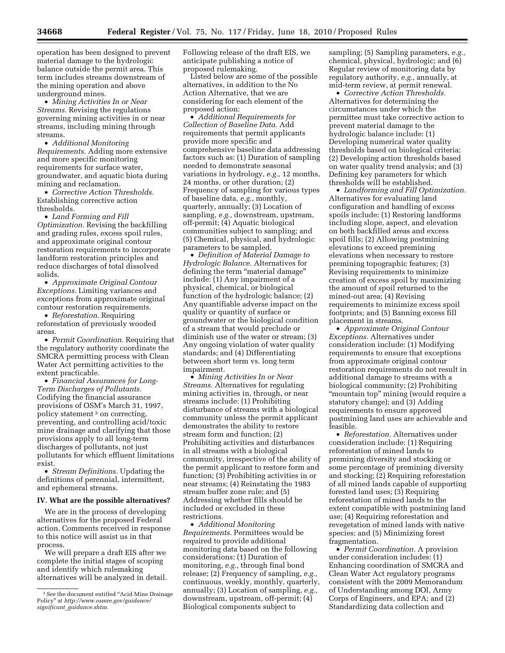operation has been designed to prevent material damage to the hydrologic balance outside the permit area. This term includes streams downstream of the mining operation and above underground mines.

• *Mining Activities In or Near Streams.* Revising the regulations governing mining activities in or near streams, including mining through streams.

• *Additional Monitoring Requirements.* Adding more extensive and more specific monitoring requirements for surface water, groundwater, and aquatic biota during mining and reclamation.

• *Corrective Action Thresholds.*  Establishing corrective action thresholds.

• *Land Forming and Fill Optimization.* Revising the backfilling and grading rules, excess spoil rules, and approximate original contour restoration requirements to incorporate landform restoration principles and reduce discharges of total dissolved solids.

• *Approximate Original Contour Exceptions.* Limiting variances and exceptions from approximate original contour restoration requirements.

• *Reforestation.* Requiring reforestation of previously wooded areas.

• *Permit Coordination.* Requiring that the regulatory authority coordinate the SMCRA permitting process with Clean Water Act permitting activities to the extent practicable.

• *Financial Assurances for Long-Term Discharges of Pollutants.*  Codifying the financial assurance provisions of OSM's March 31, 1997, policy statement 3 on correcting, preventing, and controlling acid/toxic mine drainage and clarifying that those provisions apply to all long-term discharges of pollutants, not just pollutants for which effluent limitations exist.

• *Stream Definitions.* Updating the definitions of perennial, intermittent, and ephemeral streams.

#### **IV. What are the possible alternatives?**

We are in the process of developing alternatives for the proposed Federal action. Comments received in response to this notice will assist us in that process.

We will prepare a draft EIS after we complete the initial stages of scoping and identify which rulemaking alternatives will be analyzed in detail. Following release of the draft EIS, we anticipate publishing a notice of proposed rulemaking.

Listed below are some of the possible alternatives, in addition to the No Action Alternative, that we are considering for each element of the proposed action:

• *Additional Requirements for Collection of Baseline Data.* Add requirements that permit applicants provide more specific and comprehensive baseline data addressing factors such as: (1) Duration of sampling needed to demonstrate seasonal variations in hydrology, *e.g.,* 12 months, 24 months, or other duration; (2) Frequency of sampling for various types of baseline data, *e.g.,* monthly, quarterly, annually; (3) Location of sampling, *e.g.,* downstream, upstream, off-permit; (4) Aquatic biological communities subject to sampling; and (5) Chemical, physical, and hydrologic parameters to be sampled.

• *Definition of Material Damage to Hydrologic Balance.* Alternatives for defining the term "material damage" include: (1) Any impairment of a physical, chemical, or biological function of the hydrologic balance; (2) Any quantifiable adverse impact on the quality or quantity of surface or groundwater or the biological condition of a stream that would preclude or diminish use of the water or stream; (3) Any ongoing violation of water quality standards; and (4) Differentiating between short term vs. long term impairment.

• *Mining Activities In or Near Streams.* Alternatives for regulating mining activities in, through, or near streams include: (1) Prohibiting disturbance of streams with a biological community unless the permit applicant demonstrates the ability to restore stream form and function; (2) Prohibiting activities and disturbances in all streams with a biological community, irrespective of the ability of the permit applicant to restore form and function; (3) Prohibiting activities in or near streams; (4) Reinstating the 1983 stream buffer zone rule; and (5) Addressing whether fills should be included or excluded in these restrictions.

• *Additional Monitoring Requirements.* Permittees would be required to provide additional monitoring data based on the following considerations: (1) Duration of monitoring, *e.g.,* through final bond release; (2) Frequency of sampling, *e.g.,*  continuous, weekly, monthly, quarterly, annually; (3) Location of sampling, *e.g.,*  downstream, upstream, off-permit; (4) Biological components subject to

sampling; (5) Sampling parameters, *e.g.,*  chemical, physical, hydrologic; and (6) Regular review of monitoring data by regulatory authority, *e.g.,* annually, at mid-term review, at permit renewal.

• *Corrective Action Thresholds.*  Alternatives for determining the circumstances under which the permittee must take corrective action to prevent material damage to the hydrologic balance include: (1) Developing numerical water quality thresholds based on biological criteria; (2) Developing action thresholds based on water quality trend analysis; and (3) Defining key parameters for which thresholds will be established.

• *Landforming and Fill Optimization.*  Alternatives for evaluating land configuration and handling of excess spoils include: (1) Restoring landforms including slope, aspect, and elevation on both backfilled areas and excess spoil fills; (2) Allowing postmining elevations to exceed premining elevations when necessary to restore premining topographic features; (3) Revising requirements to minimize creation of excess spoil by maximizing the amount of spoil returned to the mined-out area; (4) Revising requirements to minimize excess spoil footprints; and (5) Banning excess fill placement in streams.

• *Approximate Original Contour Exceptions.* Alternatives under consideration include: (1) Modifying requirements to ensure that exceptions from approximate original contour restoration requirements do not result in additional damage to streams with a biological community; (2) Prohibiting ''mountain top'' mining (would require a statutory change); and (3) Adding requirements to ensure approved postmining land uses are achievable and feasible.

• *Reforestation.* Alternatives under consideration include: (1) Requiring reforestation of mined lands to premining diversity and stocking or some percentage of premining diversity and stocking; (2) Requiring reforestation of all mined lands capable of supporting forested land uses; (3) Requiring reforestation of mined lands to the extent compatible with postmining land use; (4) Requiring reforestation and revegetation of mined lands with native species; and (5) Minimizing forest fragmentation.

• *Permit Coordination.* A provision under consideration includes: (1) Enhancing coordination of SMCRA and Clean Water Act regulatory programs consistent with the 2009 Memorandum of Understanding among DOI, Army Corps of Engineers, and EPA; and (2) Standardizing data collection and

<sup>3</sup>*See* the document entitled ''Acid Mine Drainage Policy'' at *http://www.osmre.gov/guidance/ significant*\_*guidance.shtm.*